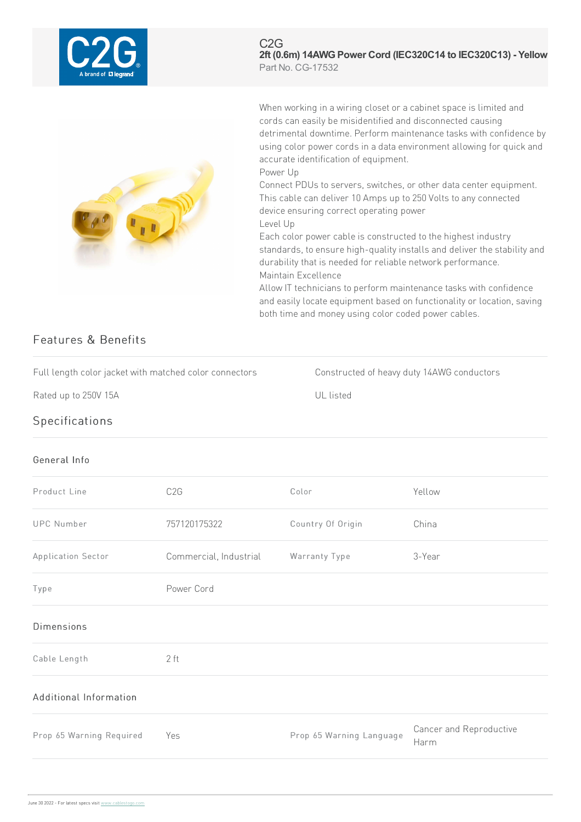| A brand of <b>L'I lecran</b> |                                                        | C2G<br>Part No. CG-17532                                                                                                                                                                                                                                                                                                                                                             | 2ft (0.6m) 14AWG Power Cord (IEC320C14 to IEC320C13) - Yellow                                                                                                                                                                                                                                                                                                                                                                                                                                                                                                                       |  |
|------------------------------|--------------------------------------------------------|--------------------------------------------------------------------------------------------------------------------------------------------------------------------------------------------------------------------------------------------------------------------------------------------------------------------------------------------------------------------------------------|-------------------------------------------------------------------------------------------------------------------------------------------------------------------------------------------------------------------------------------------------------------------------------------------------------------------------------------------------------------------------------------------------------------------------------------------------------------------------------------------------------------------------------------------------------------------------------------|--|
| Features & Benefits          |                                                        | cords can easily be misidentified and disconnected causing<br>accurate identification of equipment.<br>Power Up<br>device ensuring correct operating power<br>Level Up<br>Each color power cable is constructed to the highest industry<br>durability that is needed for reliable network performance.<br>Maintain Excellence<br>both time and money using color coded power cables. | When working in a wiring closet or a cabinet space is limited and<br>detrimental downtime. Perform maintenance tasks with confidence by<br>using color power cords in a data environment allowing for quick and<br>Connect PDUs to servers, switches, or other data center equipment.<br>This cable can deliver 10 Amps up to 250 Volts to any connected<br>standards, to ensure high-quality installs and deliver the stability and<br>Allow IT technicians to perform maintenance tasks with confidence<br>and easily locate equipment based on functionality or location, saving |  |
|                              | Full length color jacket with matched color connectors | Constructed of heavy duty 14AWG conductors                                                                                                                                                                                                                                                                                                                                           |                                                                                                                                                                                                                                                                                                                                                                                                                                                                                                                                                                                     |  |
| Rated up to 250V 15A         |                                                        | UL listed                                                                                                                                                                                                                                                                                                                                                                            |                                                                                                                                                                                                                                                                                                                                                                                                                                                                                                                                                                                     |  |
| Specifications               |                                                        |                                                                                                                                                                                                                                                                                                                                                                                      |                                                                                                                                                                                                                                                                                                                                                                                                                                                                                                                                                                                     |  |
| General Info                 |                                                        |                                                                                                                                                                                                                                                                                                                                                                                      |                                                                                                                                                                                                                                                                                                                                                                                                                                                                                                                                                                                     |  |
| Product Line                 | C <sub>2</sub> G                                       | Color                                                                                                                                                                                                                                                                                                                                                                                | Yellow                                                                                                                                                                                                                                                                                                                                                                                                                                                                                                                                                                              |  |
| <b>UPC Number</b>            | 757120175322                                           | Country Of Origin                                                                                                                                                                                                                                                                                                                                                                    | China                                                                                                                                                                                                                                                                                                                                                                                                                                                                                                                                                                               |  |
| Application Sector           | Commercial, Industrial                                 | Warranty Type                                                                                                                                                                                                                                                                                                                                                                        | 3-Year                                                                                                                                                                                                                                                                                                                                                                                                                                                                                                                                                                              |  |
| Type                         | Power Cord                                             |                                                                                                                                                                                                                                                                                                                                                                                      |                                                                                                                                                                                                                                                                                                                                                                                                                                                                                                                                                                                     |  |

## Dimensions

Cable Length 2 ft

## Additional Information

Prop 65 Warning Required Yes Prop 65 Warning Language

Cancer and Reproductive Harm